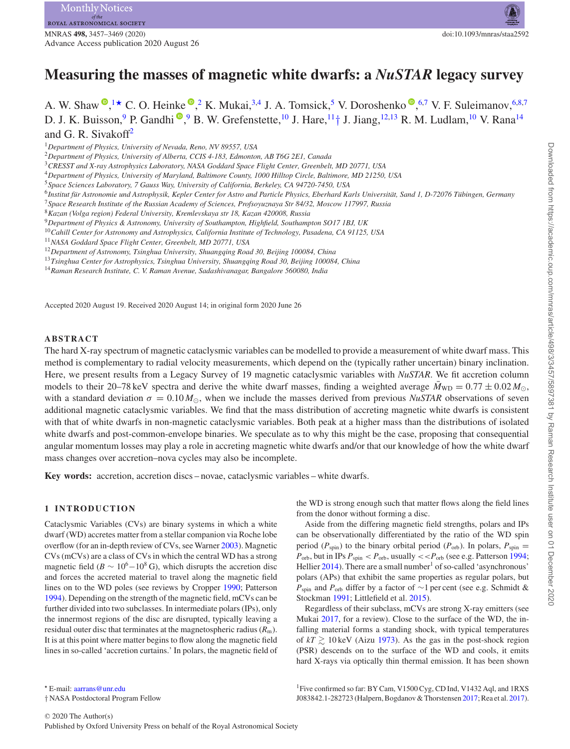# **Measuring the masses of magnetic white dwarfs: a** *NuSTAR* **legacy survey**

A. W. Shaw  $\bullet$ [,](http://orcid.org/0000-0001-8162-1105)<sup>[1](#page-0-0)\*</sup> C. O. Heinke  $\bullet$ ,<sup>[2](#page-0-2)</sup> K. Mukai,<sup>[3,](#page-0-3)[4](#page-0-4)</sup> J. A. Tomsick,<sup>5</sup> V. Doroshenko  $\bullet$ ,<sup>[6](#page-0-6)[,7](#page-0-7)</sup> V. F. Suleimanov,<sup>6[,8](#page-0-8),7</sup> D. J. K. Buisson[,](http://orcid.org/0000-0003-3105-2615) <sup>[9](#page-0-9)</sup> P. Gandhi <sup>(10</sup>, 9 B. W. Grefenstette, <sup>10</sup> J. Hare, <sup>11</sup> † J. Jiang, <sup>[12,](#page-0-12)[13](#page-0-13)</sup> R. M. Ludlam, <sup>10</sup> V. Rana<sup>[14](#page-0-14)</sup> and G. R. Sivakoff<sup>2</sup>

- <span id="page-0-5"></span><sup>5</sup>*Space Sciences Laboratory, 7 Gauss Way, University of California, Berkeley, CA 94720-7450, USA*
- <span id="page-0-6"></span><sup>6</sup>Institut für Astronomie und Astrophysik, Kepler Center for Astro and Particle Physics, Eberhard Karls Universität, Sand 1, D-72076 Tübingen, Germany
- <span id="page-0-7"></span><sup>7</sup>*Space Research Institute of the Russian Academy of Sciences, Profsoyuznaya Str 84/32, Moscow 117997, Russia*

- <span id="page-0-9"></span><sup>9</sup>*Department of Physics & Astronomy, University of Southampton, Highfield, Southampton SO17 1BJ, UK*
- <span id="page-0-10"></span><sup>10</sup>*Cahill Center for Astronomy and Astrophysics, California Institute of Technology, Pasadena, CA 91125, USA*

- <span id="page-0-12"></span><sup>12</sup>*Department of Astronomy, Tsinghua University, Shuangqing Road 30, Beijing 100084, China*
- <span id="page-0-13"></span><sup>13</sup>*Tsinghua Center for Astrophysics, Tsinghua University, Shuangqing Road 30, Beijing 100084, China*
- <span id="page-0-14"></span><sup>14</sup>*Raman Research Institute, C. V. Raman Avenue, Sadashivanagar, Bangalore 560080, India*

Accepted 2020 August 19. Received 2020 August 14; in original form 2020 June 26

### **ABSTRACT**

The hard X-ray spectrum of magnetic cataclysmic variables can be modelled to provide a measurement of white dwarf mass. This method is complementary to radial velocity measurements, which depend on the (typically rather uncertain) binary inclination. Here, we present results from a Legacy Survey of 19 magnetic cataclysmic variables with *NuSTAR*. We fit accretion column models to their 20–78 keV spectra and derive the white dwarf masses, finding a weighted average  $\bar{M}_{WD} = 0.77 \pm 0.02 M_{\odot}$ , with a standard deviation  $\sigma = 0.10 M_{\odot}$ , when we include the masses derived from previous *NuSTAR* observations of seven additional magnetic cataclysmic variables. We find that the mass distribution of accreting magnetic white dwarfs is consistent with that of white dwarfs in non-magnetic cataclysmic variables. Both peak at a higher mass than the distributions of isolated white dwarfs and post-common-envelope binaries. We speculate as to why this might be the case, proposing that consequential angular momentum losses may play a role in accreting magnetic white dwarfs and/or that our knowledge of how the white dwarf mass changes over accretion–nova cycles may also be incomplete.

**Key words:** accretion, accretion discs – novae, cataclysmic variables – white dwarfs.

## **1 INTRODUCTION**

<span id="page-0-1"></span>Cataclysmic Variables (CVs) are binary systems in which a white dwarf (WD) accretes matter from a stellar companion via Roche lobe overflow (for an in-depth review of CVs, see Warner [2003\)](#page-10-0). Magnetic CVs (mCVs) are a class of CVs in which the central WD has a strong magnetic field ( $B \sim 10^6 - 10^8$  G), which disrupts the accretion disc and forces the accreted material to travel along the magnetic field lines on to the WD poles (see reviews by Cropper [1990;](#page-9-0) Patterson [1994\)](#page-10-1). Depending on the strength of the magnetic field, mCVs can be further divided into two subclasses. In intermediate polars (IPs), only the innermost regions of the disc are disrupted, typically leaving a residual outer disc that terminates at the magnetospheric radius  $(R<sub>m</sub>)$ . It is at this point where matter begins to flow along the magnetic field lines in so-called 'accretion curtains.' In polars, the magnetic field of the WD is strong enough such that matter flows along the field lines from the donor without forming a disc.

Aside from the differing magnetic field strengths, polars and IPs can be observationally differentiated by the ratio of the WD spin period ( $P_{spin}$ ) to the binary orbital period ( $P_{orb}$ ). In polars,  $P_{spin}$  =  $P_{\text{orb}}$ , but in IPs  $P_{\text{spin}} < P_{\text{orb}}$ , usually  $<< P_{\text{orb}}$  (see e.g. Patterson [1994;](#page-10-1) Hellier  $2014$ ). There are a small number<sup>1</sup> of so-called 'asynchronous' polars (APs) that exhibit the same properties as regular polars, but *P*<sub>spin</sub> and *P*<sub>orb</sub> differ by a factor of ∼1 per cent (see e.g. Schmidt & Stockman [1991;](#page-10-3) Littlefield et al. [2015\)](#page-10-4).

Regardless of their subclass, mCVs are strong X-ray emitters (see Mukai [2017,](#page-10-5) for a review). Close to the surface of the WD, the infalling material forms a standing shock, with typical temperatures of  $kT \gtrsim 10 \,\text{keV}$  (Aizu [1973\)](#page-9-1). As the gas in the post-shock region (PSR) descends on to the surface of the WD and cools, it emits hard X-rays via optically thin thermal emission. It has been shown

<sup>1</sup>Five confirmed so far: BY Cam, V1500 Cyg, CD Ind, V1432 Aql, and 1RXS J083842.1-282723 (Halpern, Bogdanov & Thorstensen [2017;](#page-10-6) Rea et al. [2017\)](#page-10-7).

<span id="page-0-0"></span><sup>1</sup>*Department of Physics, University of Nevada, Reno, NV 89557, USA*

<span id="page-0-2"></span><sup>2</sup>*Department of Physics, University of Alberta, CCIS 4-183, Edmonton, AB T6G 2E1, Canada*

<span id="page-0-3"></span><sup>3</sup>*CRESST and X-ray Astrophysics Laboratory, NASA Goddard Space Flight Center, Greenbelt, MD 20771, USA*

<span id="page-0-4"></span><sup>4</sup>*Department of Physics, University of Maryland, Baltimore County, 1000 Hilltop Circle, Baltimore, MD 21250, USA*

<span id="page-0-8"></span><sup>8</sup>*Kazan (Volga region) Federal University, Kremlevskaya str 18, Kazan 420008, Russia*

<span id="page-0-11"></span><sup>11</sup>*NASA Goddard Space Flight Center, Greenbelt, MD 20771, USA*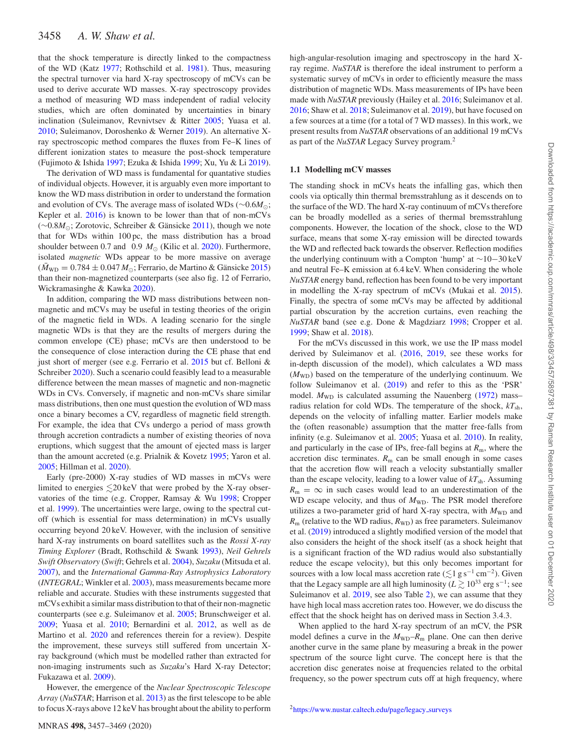that the shock temperature is directly linked to the compactness of the WD (Katz [1977;](#page-10-8) Rothschild et al. [1981\)](#page-10-9). Thus, measuring the spectral turnover via hard X-ray spectroscopy of mCVs can be used to derive accurate WD masses. X-ray spectroscopy provides a method of measuring WD mass independent of radial velocity studies, which are often dominated by uncertainties in binary inclination (Suleimanov, Revnivtsev & Ritter [2005;](#page-10-10) Yuasa et al. [2010;](#page-10-11) Suleimanov, Doroshenko & Werner [2019\)](#page-10-12). An alternative Xray spectroscopic method compares the fluxes from Fe–K lines of different ionization states to measure the post-shock temperature (Fujimoto & Ishida [1997;](#page-10-13) Ezuka & Ishida [1999;](#page-9-2) Xu, Yu & Li [2019\)](#page-10-14).

The derivation of WD mass is fundamental for quantative studies of individual objects. However, it is arguably even more important to know the WD mass distribution in order to understand the formation and evolution of CVs. The average mass of isolated WDs (∼0.6*M*-; Kepler et al. [2016\)](#page-10-15) is known to be lower than that of non-mCVs (∼0.8*M*<sub>⊙</sub>; Zorotovic, Schreiber & Gänsicke [2011\)](#page-10-16), though we note that for WDs within 100 pc, the mass distribution has a broad shoulder between 0.7 and 0.9  $M_{\odot}$  (Kilic et al. [2020\)](#page-10-17). Furthermore, isolated *magnetic* WDs appear to be more massive on average  $(\bar{M}_{\text{WD}} = 0.784 \pm 0.047 M_{\odot})$ ; Ferrario, de Martino & Gänsicke [2015\)](#page-9-3) than their non-magnetized counterparts (see also fig. 12 of Ferrario, Wickramasinghe & Kawka [2020\)](#page-10-18).

In addition, comparing the WD mass distributions between nonmagnetic and mCVs may be useful in testing theories of the origin of the magnetic field in WDs. A leading scenario for the single magnetic WDs is that they are the results of mergers during the common envelope (CE) phase; mCVs are then understood to be the consequence of close interaction during the CE phase that end just short of merger (see e.g. Ferrario et al. [2015](#page-9-3) but cf. Belloni & Schreiber [2020\)](#page-9-4). Such a scenario could feasibly lead to a measurable difference between the mean masses of magnetic and non-magnetic WDs in CVs. Conversely, if magnetic and non-mCVs share similar mass distributions, then one must question the evolution of WD mass once a binary becomes a CV, regardless of magnetic field strength. For example, the idea that CVs undergo a period of mass growth through accretion contradicts a number of existing theories of nova eruptions, which suggest that the amount of ejected mass is larger than the amount accreted (e.g. Prialnik & Kovetz [1995;](#page-10-19) Yaron et al. [2005;](#page-10-20) Hillman et al. [2020\)](#page-10-21).

Early (pre-2000) X-ray studies of WD masses in mCVs were limited to energies  $\leq 20 \,\text{keV}$  that were probed by the X-ray observatories of the time (e.g. Cropper, Ramsay & Wu [1998;](#page-9-5) Cropper et al. [1999\)](#page-9-6). The uncertainties were large, owing to the spectral cutoff (which is essential for mass determination) in mCVs usually occurring beyond 20 keV. However, with the inclusion of sensitive hard X-ray instruments on board satellites such as the *Rossi X-ray Timing Explorer* (Bradt, Rothschild & Swank [1993\)](#page-9-7), *Neil Gehrels Swift Observatory* (*Swift*; Gehrels et al. [2004\)](#page-10-22), *Suzaku* (Mitsuda et al. [2007\)](#page-10-23), and the *International Gamma-Ray Astrophysics Laboratory* (*INTEGRAL*; Winkler et al. [2003\)](#page-10-24), mass measurements became more reliable and accurate. Studies with these instruments suggested that mCVs exhibit a similar mass distribution to that of their non-magnetic counterparts (see e.g. Suleimanov et al. [2005;](#page-10-10) Brunschweiger et al. [2009;](#page-9-8) Yuasa et al. [2010;](#page-10-11) Bernardini et al. [2012,](#page-9-9) as well as de Martino et al. [2020](#page-9-10) and references therein for a review). Despite the improvement, these surveys still suffered from uncertain Xray background (which must be modelled rather than extracted for non-imaging instruments such as *Suzaku*'s Hard X-ray Detector; Fukazawa et al. [2009\)](#page-10-25).

However, the emergence of the *Nuclear Spectroscopic Telescope Array* (*NuSTAR*; Harrison et al. [2013\)](#page-10-26) as the first telescope to be able to focus X-rays above 12 keV has brought about the ability to perform high-angular-resolution imaging and spectroscopy in the hard Xray regime. *NuSTAR* is therefore the ideal instrument to perform a systematic survey of mCVs in order to efficiently measure the mass distribution of magnetic WDs. Mass measurements of IPs have been made with *NuSTAR* previously (Hailey et al. [2016;](#page-10-27) Suleimanov et al. [2016;](#page-10-28) Shaw et al. [2018;](#page-10-29) Suleimanov et al. [2019\)](#page-10-12), but have focused on a few sources at a time (for a total of 7 WD masses). In this work, we present results from *NuSTAR* observations of an additional 19 mCVs as part of the *NuSTAR* Legacy Survey program.<sup>2</sup>

## **1.1 Modelling mCV masses**

The standing shock in mCVs heats the infalling gas, which then cools via optically thin thermal bremsstrahlung as it descends on to the surface of the WD. The hard X-ray continuum of mCVs therefore can be broadly modelled as a series of thermal bremsstrahlung components. However, the location of the shock, close to the WD surface, means that some X-ray emission will be directed towards the WD and reflected back towards the observer. Reflection modifies the underlying continuum with a Compton 'hump' at ∼10−30 keV and neutral Fe–K emission at 6.4 keV. When considering the whole *NuSTAR* energy band, reflection has been found to be very important in modelling the X-ray spectrum of mCVs (Mukai et al. [2015\)](#page-10-30). Finally, the spectra of some mCVs may be affected by additional partial obscuration by the accretion curtains, even reaching the *NuSTAR* band (see e.g. Done & Magdziarz [1998;](#page-9-11) Cropper et al. [1999;](#page-9-6) Shaw et al. [2018\)](#page-10-29).

For the mCVs discussed in this work, we use the IP mass model derived by Suleimanov et al. [\(2016,](#page-10-28) [2019,](#page-10-12) see these works for in-depth discussion of the model), which calculates a WD mass  $(M_{WD})$  based on the temperature of the underlying continuum. We follow Suleimanov et al. [\(2019\)](#page-10-12) and refer to this as the 'PSR' model.  $M_{WD}$  is calculated assuming the Nauenberg  $(1972)$  mass– radius relation for cold WDs. The temperature of the shock, *kT*sh, depends on the velocity of infalling matter. Earlier models make the (often reasonable) assumption that the matter free-falls from infinity (e.g. Suleimanov et al. [2005;](#page-10-10) Yuasa et al. [2010\)](#page-10-11). In reality, and particularly in the case of IPs, free-fall begins at  $R<sub>m</sub>$ , where the accretion disc terminates.  $R<sub>m</sub>$  can be small enough in some cases that the accretion flow will reach a velocity substantially smaller than the escape velocity, leading to a lower value of  $kT_{\rm sh}$ . Assuming  $R_{\rm m} = \infty$  in such cases would lead to an underestimation of the WD escape velocity, and thus of  $M_{WD}$ . The PSR model therefore utilizes a two-parameter grid of hard X-ray spectra, with  $M_{WD}$  and  $R<sub>m</sub>$  (relative to the WD radius,  $R<sub>WD</sub>$ ) as free parameters. Suleimanov et al. [\(2019\)](#page-10-12) introduced a slightly modified version of the model that also considers the height of the shock itself (as a shock height that is a significant fraction of the WD radius would also substantially reduce the escape velocity), but this only becomes important for sources with a low local mass accretion rate ( $\lesssim$ 1 gs<sup>-1</sup> cm<sup>-2</sup>). Given that the Legacy sample are all high luminosity ( $L \gtrsim 10^{33}$  erg s<sup>-1</sup>; see Suleimanov et al. [2019,](#page-10-12) see also Table [2\)](#page-5-0), we can assume that they have high local mass accretion rates too. However, we do discuss the effect that the shock height has on derived mass in Section 3.4.3.

When applied to the hard X-ray spectrum of an mCV, the PSR model defines a curve in the  $M_{WD}-R_m$  plane. One can then derive another curve in the same plane by measuring a break in the power spectrum of the source light curve. The concept here is that the accretion disc generates noise at frequencies related to the orbital frequency, so the power spectrum cuts off at high frequency, where

<sup>2</sup>https://www.nustar.caltech.edu/page/legacy\_surveys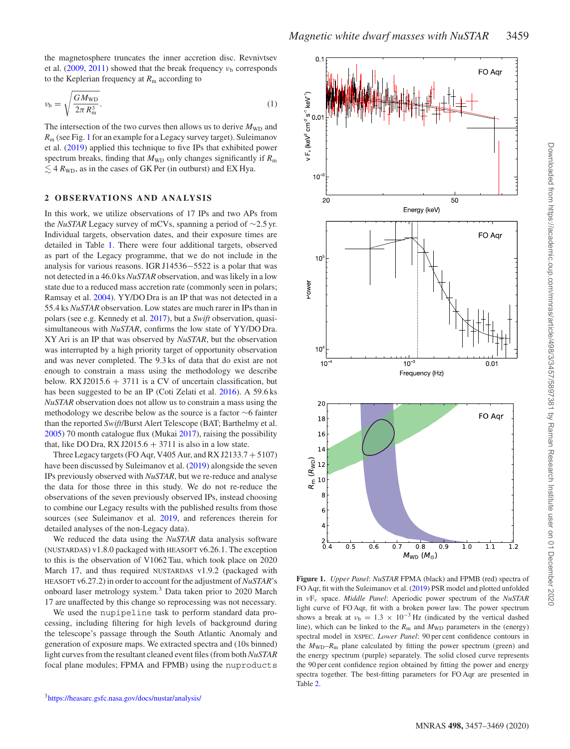the magnetosphere truncates the inner accretion disc. Revnivtsev et al.  $(2009, 2011)$  $(2009, 2011)$  $(2009, 2011)$  showed that the break frequency  $v<sub>b</sub>$  corresponds to the Keplerian frequency at  $R<sub>m</sub>$  according to

$$
\nu_{\rm b} = \sqrt{\frac{GM_{\rm WD}}{2\pi R_{\rm m}^3}}.\tag{1}
$$

The intersection of the two curves then allows us to derive  $M_{WD}$  and *R*<sup>m</sup> (see Fig. [1](#page-2-0) for an example for a Legacy survey target). Suleimanov et al. [\(2019\)](#page-10-12) applied this technique to five IPs that exhibited power spectrum breaks, finding that  $M_{WD}$  only changes significantly if  $R_m$  $\lesssim$  4  $R_{\text{WD}}$ , as in the cases of GK Per (in outburst) and EX Hya.

## **2 OBSERVATIONS AND ANALYSIS**

In this work, we utilize observations of 17 IPs and two APs from the *NuSTAR* Legacy survey of mCVs, spanning a period of ∼2.5 yr. Individual targets, observation dates, and their exposure times are detailed in Table [1.](#page-3-0) There were four additional targets, observed as part of the Legacy programme, that we do not include in the analysis for various reasons. IGR J14536−5522 is a polar that was not detected in a 46.0 ks *NuSTAR* observation, and was likely in a low state due to a reduced mass accretion rate (commonly seen in polars; Ramsay et al. [2004\)](#page-10-34). YY/DO Dra is an IP that was not detected in a 55.4 ks *NuSTAR* observation. Low states are much rarer in IPs than in polars (see e.g. Kennedy et al. [2017\)](#page-10-35), but a *Swift* observation, quasisimultaneous with *NuSTAR*, confirms the low state of YY/DO Dra. XY Ari is an IP that was observed by *NuSTAR*, but the observation was interrupted by a high priority target of opportunity observation and was never completed. The 9.3 ks of data that do exist are not enough to constrain a mass using the methodology we describe below. RX J2015.6  $+$  3711 is a CV of uncertain classification, but has been suggested to be an IP (Coti Zelati et al. [2016\)](#page-9-12). A 59.6 ks *NuSTAR* observation does not allow us to constrain a mass using the methodology we describe below as the source is a factor ∼6 fainter than the reported *Swift*/Burst Alert Telescope (BAT; Barthelmy et al. [2005\)](#page-9-13) 70 month catalogue flux (Mukai [2017\)](#page-10-5), raising the possibility that, like DO Dra, RX J2015.6  $+$  3711 is also in a low state.

Three Legacy targets (FO Aqr, V405 Aur, and RX J2133.7 + 5107) have been discussed by Suleimanov et al. [\(2019\)](#page-10-12) alongside the seven IPs previously observed with *NuSTAR*, but we re-reduce and analyse the data for those three in this study. We do not re-reduce the observations of the seven previously observed IPs, instead choosing to combine our Legacy results with the published results from those sources (see Suleimanov et al. [2019,](#page-10-12) and references therein for detailed analyses of the non-Legacy data).

We reduced the data using the *NuSTAR* data analysis software (NUSTARDAS) v1.8.0 packaged with HEASOFT v6.26.1. The exception to this is the observation of V1062 Tau, which took place on 2020 March 17, and thus required NUSTARDAS v1.9.2 (packaged with HEASOFT v6.27.2) in order to account for the adjustment of *NuSTAR*'s onboard laser metrology system.3 Data taken prior to 2020 March 17 are unaffected by this change so reprocessing was not necessary.

We used the nupipeline task to perform standard data processing, including filtering for high levels of background during the telescope's passage through the South Atlantic Anomaly and generation of exposure maps. We extracted spectra and (10s binned) light curves from the resultant cleaned event files (from both *NuSTAR* focal plane modules; FPMA and FPMB) using the nuproducts

<span id="page-2-0"></span>

**Figure 1.** *Upper Panel*: *NuSTAR* FPMA (black) and FPMB (red) spectra of FO Aqr, fit with the Suleimanov et al. [\(2019\)](#page-10-12) PSR model and plotted unfolded in *ν*F*<sup>ν</sup>* space. *Middle Panel*: Aperiodic power spectrum of the *NuSTAR* light curve of FO Aqr, fit with a broken power law. The power spectrum shows a break at  $v_b = 1.3 \times 10^{-3}$  Hz (indicated by the vertical dashed line), which can be linked to the  $R<sub>m</sub>$  and  $M<sub>WD</sub>$  parameters in the (energy) spectral model in XSPEC. *Lower Panel*: 90 per cent confidence contours in the  $M_{WD}-R_m$  plane calculated by fitting the power spectrum (green) and the energy spectrum (purple) separately. The solid closed curve represents the 90 per cent confidence region obtained by fitting the power and energy spectra together. The best-fitting parameters for FO Aqr are presented in Table [2.](#page-5-0)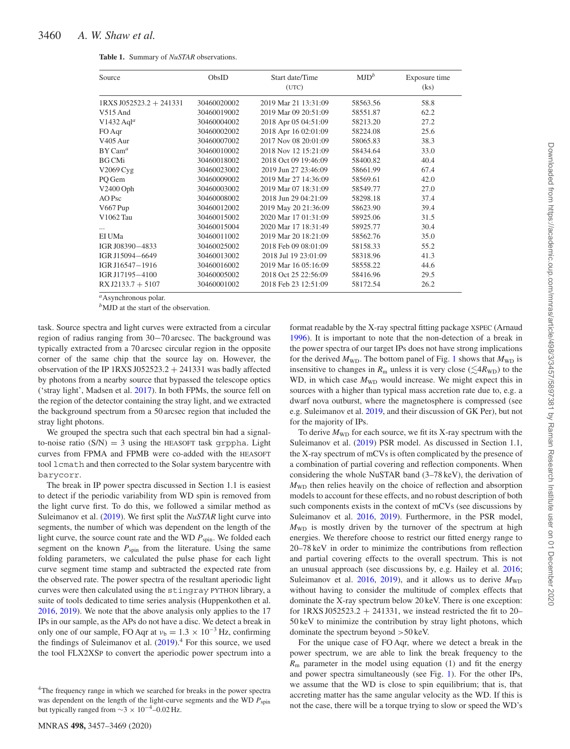<span id="page-3-0"></span>

| Source                     | ObsID       | Start date/Time<br>(UTC) | $MJD^b$  | Exposure time<br>(ks) |
|----------------------------|-------------|--------------------------|----------|-----------------------|
| $1$ RXS J052523.2 + 241331 | 30460020002 | 2019 Mar 21 13:31:09     | 58563.56 | 58.8                  |
| $V515$ And                 | 30460019002 | 2019 Mar 09 20:51:09     | 58551.87 | 62.2                  |
| $V1432$ Aql <sup>a</sup>   | 30460004002 | 2018 Apr 05 04:51:09     | 58213.20 | 27.2                  |
| FO Aqr                     | 30460002002 | 2018 Apr 16 02:01:09     | 58224.08 | 25.6                  |
| V405 Aur                   | 30460007002 | 2017 Nov 08 20:01:09     | 58065.83 | 38.3                  |
| $BY Cam^a$                 | 30460010002 | 2018 Nov 12 15:21:09     | 58434.64 | 33.0                  |
| <b>BG CMi</b>              | 30460018002 | 2018 Oct 09 19:46:09     | 58400.82 | 40.4                  |
| V2069 Cyg                  | 30460023002 | 2019 Jun 27 23:46:09     | 58661.99 | 67.4                  |
| PQ Gem                     | 30460009002 | 2019 Mar 27 14:36:09     | 58569.61 | 42.0                  |
| V2400 Oph                  | 30460003002 | 2019 Mar 07 18:31:09     | 58549.77 | 27.0                  |
| AO Psc                     | 30460008002 | 2018 Jun 29 04:21:09     | 58298.18 | 37.4                  |
| V667 Pup                   | 30460012002 | 2019 May 20 21:36:09     | 58623.90 | 39.4                  |
| V1062 Tau                  | 30460015002 | 2020 Mar 17 01:31:09     | 58925.06 | 31.5                  |
|                            | 30460015004 | 2020 Mar 17 18:31:49     | 58925.77 | 30.4                  |
| EI UMa                     | 30460011002 | 2019 Mar 20 18:21:09     | 58562.76 | 35.0                  |
| IGR J08390-4833            | 30460025002 | 2018 Feb 09 08:01:09     | 58158.33 | 55.2                  |
| IGR J15094-6649            | 30460013002 | 2018 Jul 19 23:01:09     | 58318.96 | 41.3                  |
| IGR J16547—1916            | 30460016002 | 2019 Mar 16 05:16:09     | 58558.22 | 44.6                  |
| IGR J17195-4100            | 30460005002 | 2018 Oct 25 22:56:09     | 58416.96 | 29.5                  |
| $RX J2133.7 + 5107$        | 30460001002 | 2018 Feb 23 12:51:09     | 58172.54 | 26.2                  |

*<sup>a</sup>*Asynchronous polar.

<sup>*b*</sup>MJD at the start of the observation.

task. Source spectra and light curves were extracted from a circular region of radius ranging from 30−70 arcsec. The background was typically extracted from a 70 arcsec circular region in the opposite corner of the same chip that the source lay on. However, the observation of the IP 1RXS J052523.2  $+$  241331 was badly affected by photons from a nearby source that bypassed the telescope optics ('stray light', Madsen et al. [2017\)](#page-10-36). In both FPMs, the source fell on the region of the detector containing the stray light, and we extracted the background spectrum from a 50 arcsec region that included the stray light photons.

We grouped the spectra such that each spectral bin had a signalto-noise ratio  $(S/N) = 3$  using the HEASOFT task grppha. Light curves from FPMA and FPMB were co-added with the HEASOFT tool lcmath and then corrected to the Solar system barycentre with barycorr.

The break in IP power spectra discussed in Section 1.1 is easiest to detect if the periodic variability from WD spin is removed from the light curve first. To do this, we followed a similar method as Suleimanov et al. [\(2019\)](#page-10-12). We first split the *NuSTAR* light curve into segments, the number of which was dependent on the length of the light curve, the source count rate and the WD  $P_{spin}$ . We folded each segment on the known  $P_{spin}$  from the literature. Using the same folding parameters, we calculated the pulse phase for each light curve segment time stamp and subtracted the expected rate from the observed rate. The power spectra of the resultant aperiodic light curves were then calculated using the stingray PYTHON library, a suite of tools dedicated to time series analysis (Huppenkothen et al. [2016,](#page-10-37) [2019\)](#page-10-38). We note that the above analysis only applies to the 17 IPs in our sample, as the APs do not have a disc. We detect a break in only one of our sample, FO Aqr at  $v<sub>b</sub> = 1.3 \times 10^{-3}$  Hz, confirming the findings of Suleimanov et al.  $(2019)$ .<sup>4</sup> For this source, we used the tool FLX2XSP to convert the aperiodic power spectrum into a format readable by the X-ray spectral fitting package XSPEC (Arnaud [1996\)](#page-9-14). It is important to note that the non-detection of a break in the power spectra of our target IPs does not have strong implications for the derived  $M_{WD}$ . The bottom panel of Fig. [1](#page-2-0) shows that  $M_{WD}$  is insensitive to changes in  $R<sub>m</sub>$  unless it is very close ( $\leq 4R<sub>WD</sub>$ ) to the WD, in which case  $M_{WD}$  would increase. We might expect this in sources with a higher than typical mass accretion rate due to, e.g. a dwarf nova outburst, where the magnetosphere is compressed (see e.g. Suleimanov et al. [2019,](#page-10-12) and their discussion of GK Per), but not for the majority of IPs. To derive  $M_{WD}$  for each source, we fit its X-ray spectrum with the

Suleimanov et al. [\(2019\)](#page-10-12) PSR model. As discussed in Section 1.1, the X-ray spectrum of mCVs is often complicated by the presence of a combination of partial covering and reflection components. When considering the whole NuSTAR band (3–78 keV), the derivation of  $M_{WD}$  then relies heavily on the choice of reflection and absorption models to account for these effects, and no robust description of both such components exists in the context of mCVs (see discussions by Suleimanov et al. [2016,](#page-10-28) [2019\)](#page-10-12). Furthermore, in the PSR model,  $M_{WD}$  is mostly driven by the turnover of the spectrum at high energies. We therefore choose to restrict our fitted energy range to 20–78 keV in order to minimize the contributions from reflection and partial covering effects to the overall spectrum. This is not an unusual approach (see discussions by, e.g. Hailey et al. [2016;](#page-10-27) Suleimanov et al.  $2016$ ,  $2019$ ), and it allows us to derive  $M_{WD}$ without having to consider the multitude of complex effects that dominate the X-ray spectrum below 20 keV. There is one exception: for 1RXS J052523.2  $+$  241331, we instead restricted the fit to 20– 50 keV to minimize the contribution by stray light photons, which dominate the spectrum beyond *>*50 keV.

For the unique case of FO Aqr, where we detect a break in the power spectrum, we are able to link the break frequency to the  $R<sub>m</sub>$  parameter in the model using equation (1) and fit the energy and power spectra simultaneously (see Fig. [1\)](#page-2-0). For the other IPs, we assume that the WD is close to spin equilibrium; that is, that accreting matter has the same angular velocity as the WD. If this is not the case, there will be a torque trying to slow or speed the WD's

<sup>&</sup>lt;sup>4</sup>The frequency range in which we searched for breaks in the power spectra was dependent on the length of the light-curve segments and the WD  $P_{spin}$ but typically ranged from  $\sim$ 3 × 10<sup>-4</sup>–0.02 Hz.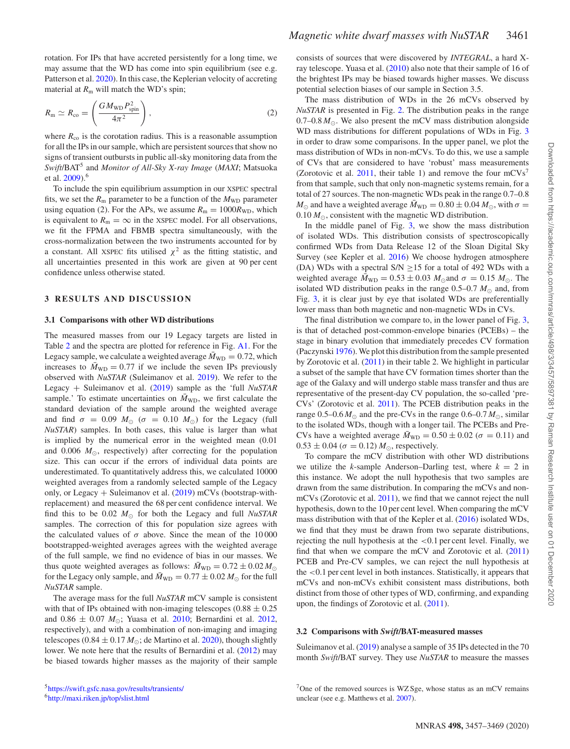rotation. For IPs that have accreted persistently for a long time, we may assume that the WD has come into spin equilibrium (see e.g. Patterson et al. [2020\)](#page-10-39). In this case, the Keplerian velocity of accreting material at  $R_m$  will match the WD's spin;

$$
R_{\rm m} \simeq R_{\rm co} = \left(\frac{GM_{\rm WD}P_{\rm spin}^2}{4\pi^2}\right),\tag{2}
$$

where  $R_{\rm co}$  is the corotation radius. This is a reasonable assumption for all the IPs in our sample, which are persistent sources that show no signs of transient outbursts in public all-sky monitoring data from the *Swift*/BAT<sup>5</sup> and *Monitor of All-Sky X-ray Image* (*MAXI*; Matsuoka et al. [2009\)](#page-10-40).<sup>6</sup>

To include the spin equilibrium assumption in our XSPEC spectral fits, we set the  $R_m$  parameter to be a function of the  $M_{WD}$  parameter using equation (2). For the APs, we assume  $R<sub>m</sub> = 1000R<sub>WD</sub>$ , which is equivalent to  $R_m = \infty$  in the XSPEC model. For all observations, we fit the FPMA and FBMB spectra simultaneously, with the cross-normalization between the two instruments accounted for by a constant. All XSPEC fits utilised  $\chi^2$  as the fitting statistic, and all uncertainties presented in this work are given at 90 per cent confidence unless otherwise stated.

## **3 RESULTS AND DISCUSSION**

### **3.1 Comparisons with other WD distributions**

The measured masses from our 19 Legacy targets are listed in Table [2](#page-5-0) and the spectra are plotted for reference in Fig. [A1.](#page-11-0) For the Legacy sample, we calculate a weighted average  $\bar{M}_{WD} = 0.72$ , which increases to  $\bar{M}_{WD} = 0.77$  if we include the seven IPs previously observed with *NuSTAR* (Suleimanov et al. [2019\)](#page-10-12). We refer to the Legacy + Suleimanov et al. [\(2019\)](#page-10-12) sample as the 'full *NuSTAR* sample.' To estimate uncertainties on  $\bar{M}_{WD}$ , we first calculate the standard deviation of the sample around the weighted average and find  $\sigma = 0.09$   $M_{\odot}$  ( $\sigma = 0.10$   $M_{\odot}$ ) for the Legacy (full *NuSTAR*) samples. In both cases, this value is larger than what is implied by the numerical error in the weighted mean (0.01 and  $0.006$   $M_{\odot}$ , respectively) after correcting for the population size. This can occur if the errors of individual data points are underestimated. To quantitatively address this, we calculated 10000 weighted averages from a randomly selected sample of the Legacy only, or Legacy + Suleimanov et al. [\(2019\)](#page-10-12) mCVs (bootstrap-withreplacement) and measured the 68 per cent confidence interval. We find this to be 0.02  $M_{\odot}$  for both the Legacy and full *NuSTAR* samples. The correction of this for population size agrees with the calculated values of  $\sigma$  above. Since the mean of the 10000 bootstrapped-weighted averages agrees with the weighted average of the full sample, we find no evidence of bias in our masses. We thus quote weighted averages as follows:  $\bar{M}_{WD} = 0.72 \pm 0.02 M_{\odot}$ for the Legacy only sample, and  $\bar{M}_{WD} = 0.77 \pm 0.02 M_{\odot}$  for the full *NuSTAR* sample.

The average mass for the full *NuSTAR* mCV sample is consistent with that of IPs obtained with non-imaging telescopes  $(0.88 \pm 0.25)$ and  $0.86 \pm 0.07 \ M_{\odot}$ ; Yuasa et al. [2010;](#page-10-11) Bernardini et al. [2012,](#page-9-9) respectively), and with a combination of non-imaging and imaging telescopes ( $0.84 \pm 0.17 M_{\odot}$ ; de Martino et al. [2020\)](#page-9-10), though slightly lower. We note here that the results of Bernardini et al. [\(2012\)](#page-9-9) may be biased towards higher masses as the majority of their sample consists of sources that were discovered by *INTEGRAL*, a hard Xray telescope. Yuasa et al. [\(2010\)](#page-10-11) also note that their sample of 16 of the brightest IPs may be biased towards higher masses. We discuss potential selection biases of our sample in Section 3.5.

The mass distribution of WDs in the 26 mCVs observed by *NuSTAR* is presented in Fig. [2.](#page-5-1) The distribution peaks in the range 0.7–0.8  $M_{\odot}$ . We also present the mCV mass distribution alongside WD mass distributions for different populations of WDs in Fig. [3](#page-6-0) in order to draw some comparisons. In the upper panel, we plot the mass distribution of WDs in non-mCVs. To do this, we use a sample of CVs that are considered to have 'robust' mass measurements (Zorotovic et al. [2011,](#page-10-16) their table 1) and remove the four  $mCVs<sup>7</sup>$ from that sample, such that only non-magnetic systems remain, for a total of 27 sources. The non-magnetic WDs peak in the range 0.7–0.8  $M_{\odot}$  and have a weighted average  $\bar{M}_{WD} = 0.80 \pm 0.04 M_{\odot}$ , with  $\sigma =$  $0.10 M_{\odot}$ , consistent with the magnetic WD distribution.

In the middle panel of Fig. [3,](#page-6-0) we show the mass distribution of isolated WDs. This distribution consists of spectroscopically confirmed WDs from Data Release 12 of the Sloan Digital Sky Survey (see Kepler et al. [2016\)](#page-10-15) We choose hydrogen atmosphere (DA) WDs with a spectral  $S/N \ge 15$  for a total of 492 WDs with a weighted average  $\bar{M}_{WD} = 0.53 \pm 0.03$   $M_{\odot}$  and  $\sigma = 0.15$   $M_{\odot}$ . The isolated WD distribution peaks in the range  $0.5-0.7 M_{\odot}$  and, from Fig. [3,](#page-6-0) it is clear just by eye that isolated WDs are preferentially lower mass than both magnetic and non-magnetic WDs in CVs.

The final distribution we compare to, in the lower panel of Fig. [3,](#page-6-0) is that of detached post-common-envelope binaries (PCEBs) – the stage in binary evolution that immediately precedes CV formation (Paczynski [1976\)](#page-10-41). We plot this distribution from the sample presented by Zorotovic et al. [\(2011\)](#page-10-16) in their table 2. We highlight in particular a subset of the sample that have CV formation times shorter than the age of the Galaxy and will undergo stable mass transfer and thus are representative of the present-day CV population, the so-called 'pre-CVs' (Zorotovic et al. [2011\)](#page-10-16). The PCEB distribution peaks in the range  $0.5{\text -}0.6 M_{\odot}$  and the pre-CVs in the range  $0.6{\text -}0.7 M_{\odot}$ , similar to the isolated WDs, though with a longer tail. The PCEBs and Pre-CVs have a weighted average  $\bar{M}_{WD} = 0.50 \pm 0.02$  ( $\sigma = 0.11$ ) and  $0.53 \pm 0.04$  ( $\sigma = 0.12$ )  $M_{\odot}$ , respectively.

To compare the mCV distribution with other WD distributions we utilize the *k*-sample Anderson–Darling test, where  $k = 2$  in this instance. We adopt the null hypothesis that two samples are drawn from the same distribution. In comparing the mCVs and nonmCVs (Zorotovic et al. [2011\)](#page-10-16), we find that we cannot reject the null hypothesis, down to the 10 per cent level. When comparing the mCV mass distribution with that of the Kepler et al. [\(2016\)](#page-10-15) isolated WDs, we find that they must be drawn from two separate distributions, rejecting the null hypothesis at the *<*0.1 per cent level. Finally, we find that when we compare the mCV and Zorotovic et al. [\(2011\)](#page-10-16) PCEB and Pre-CV samples, we can reject the null hypothesis at the *<*0.1 per cent level in both instances. Statistically, it appears that mCVs and non-mCVs exhibit consistent mass distributions, both distinct from those of other types of WD, confirming, and expanding upon, the findings of Zorotovic et al. [\(2011\)](#page-10-16).

#### **3.2 Comparisons with** *Swift***/BAT-measured masses**

Suleimanov et al. [\(2019\)](#page-10-12) analyse a sample of 35 IPs detected in the 70 month *Swift*/BAT survey. They use *NuSTAR* to measure the masses

[5https://swift.gsfc.nasa.gov/results/transients/](https://swift.gsfc.nasa.gov/results/transients/) [6http://maxi.riken.jp/top/slist.html](http://maxi.riken.jp/top/slist.html)

 $7$ One of the removed sources is WZ Sge, whose status as an mCV remains unclear (see e.g. Matthews et al. [2007\)](#page-10-42).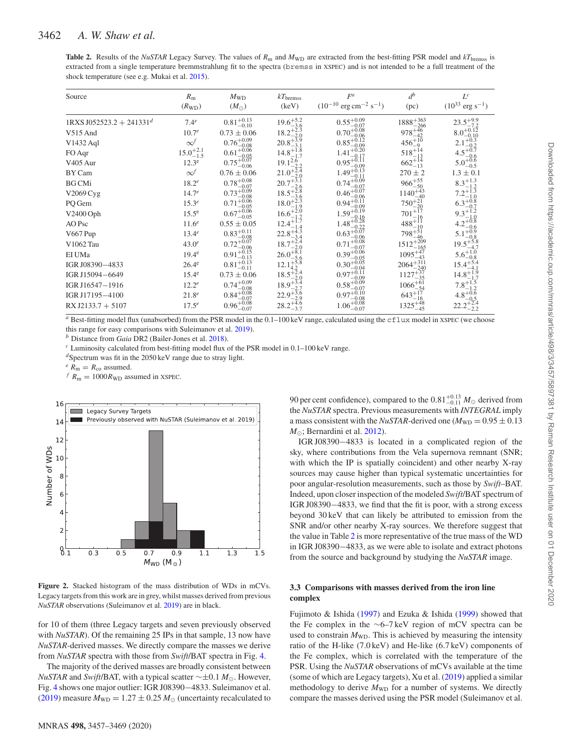# <span id="page-5-0"></span>3462 *A. W. Shaw et al.*

**Table 2.** Results of the *NuSTAR* Legacy Survey. The values of  $R_m$  and  $M_{WD}$  are extracted from the best-fitting PSR model and  $kT_{\text{brems}}$  is extracted from a single temperature bremmstrahlung fit to the spectra (bremss in XSPEC) and is not intended to be a full treatment of the shock temperature (see e.g. Mukai et al. [2015\)](#page-10-30).

| Source                                  | $R_{\rm m}$<br>$(R_{WD})$ | $M_{\rm WD}$<br>$(M_{\odot})$     | $kT_{\rm bremss}$<br>(keV)          | F <sup>a</sup><br>$(10^{-10} \text{ erg cm}^{-2} \text{ s}^{-1})$ | $d^b$<br>(pc)                  | $L^c$<br>$(10^{33} \text{ erg s}^{-1})$                          |
|-----------------------------------------|---------------------------|-----------------------------------|-------------------------------------|-------------------------------------------------------------------|--------------------------------|------------------------------------------------------------------|
| $1$ RXS J052523.2 + 241331 <sup>d</sup> | $7.4^e$                   | $0.81^{+0.13}_{-0.10}$            | $19.6^{+5.2}_{-2.2}$                | $0.55^{+0.09}_{-0.07}$<br>$-0.07$                                 | $1888^{+363}_{-266}$           | $23.5^{+9.9}_{-7.2}$                                             |
| V515 And                                | $10.7^e$                  | $0.73 \pm 0.06$                   | $18.2^{+2.3}_{-2.2}$                | $0.70^{+0.08}_{-0.08}$<br>$-0.06$                                 | $978 + 46$                     | $8.0^{+0.12}_{-0.12}$<br>$-0.10$                                 |
| V1432 Aql                               | $\infty^f$                | $0.76_{-0.08}^{+0.09}$            | $20.8^{+5.9}_{-3.1}$                | $0.85^{+0.12}_{-0.22}$<br>$-0.09$                                 | $456^{+10}_{-9}$               | $2.1^{+0.3}_{-0.2}$<br>$-0.2$                                    |
| FO Aqr                                  | $15.0^{+2.1}_{-1.5}$      | $0.61_{-0.05}^{+0.06}$            | $14.8^{+1.8}_{-1.7}$                | $1.41^{+0.20}_{-0.12}$<br>-0.17                                   | $518^{+14}_{-13}$              | $4.5^{+0.7}_{-0.7}$                                              |
| V <sub>405</sub> Aur                    | 12.3 <sup>e</sup>         | $0.75_{-0.06}^{+0.07}$            | $19.1_{-2.2}^{2.6}$                 | $0.95^{+0.11}_{-0.21}$<br>$-0.09$                                 | $662^{+14}_{-13}$              | $5.0^{+0.6}_{-0.6}$<br>$-0.5$                                    |
| BY Cam                                  | $\infty^f$                | $0.76 \pm 0.06$                   | $21.0^{+2.4}_{-2.0}$                | $1.49_{-0.11}^{+0.13}$                                            | $270 \pm 2$                    | $1.3 \pm 0.1$                                                    |
| <b>BG</b> CM <sub>i</sub>               | $18.2^e$                  | $0.78^{+0.08}_{-0.07}$            | $20.7^{+5.1}_{-2.7}$<br>$-2.6$      | $0.74^{+0.09}_{-0.07}$<br>$-0.07$                                 | $966^{+55}_{-50}$              | $8.3^{+1.3}_{-1.2}$                                              |
| V2069 Cyg                               | 14.7 <sup>e</sup>         | $0.73_{-0.09}^{+0.09}$<br>$-0.08$ | $18.5^{+5.8}_{-2.8}$                | $0.46^{+0.07}_{-0.07}$<br>$-0.06$                                 | $1140^{+43}_{-42}$             | $7.2^{+\stackrel{+}{1}\stackrel{+}{0}\stackrel{+}{0}}$<br>$-1.0$ |
| PQ Gem                                  | $15.3^e$                  | $0.71_{-0.06}^{+0.06}$<br>$-0.05$ | $18.0^{+2.3}_{-1.9}$                | $0.94_{-0.09}^{+0.11}$                                            | $750^{+21}_{-20}$              | $6.3^{+0.8}_{-0.8}$                                              |
| V2400 Oph                               | $15.5^e$                  | $0.67^{+0.06}_{-0.05}$            | $16.6^{+2.0}_{-1.7}$                | $1.59_{-0.16}^{+0.19}$                                            | $701^{+17}_{-16}$              | $9.3^{+1.2}_{-1.0}$                                              |
| AO Psc                                  | $11.6^e$                  | $0.55 \pm 0.05$                   | $12.4^{+1.7}_{-1.4}$                | $1.48^{+0.28}_{-0.28}$<br>$-0.22$                                 | $488^{+11}_{-10}$              | $4.2^{+0.8}_{-0.8}$<br>$-0.6$                                    |
| V667 Pup                                | $13.4^e$                  | $0.83^{+0.11}_{-0.08}$            | $22.8^{+4.3}_{-2.4}$<br>$-3.4$      | $0.63^{+0.07}_{-0.07}$<br>$-0.06$                                 | $798^{+51}_{-46}$              | $5.1^{+0.9}_{-0.8}$<br>$-0.8$                                    |
| V1062 Tau                               | $43.0^e$                  | $0.72^{+0.07}_{-0.07}$<br>$-0.06$ | $18.7^{+\frac{5.4}{3.6}}$<br>$-2.0$ | $0.71_{-0.08}^{+0.08}$<br>$-0.07$                                 | $1512^{+209}_{-165}$<br>$-165$ | $19.5^{+5.8}_{-4.7}$                                             |
| EI UMa                                  | 19.4 <sup>e</sup>         | $0.91_{-0.13}^{+0.15}$            | $26.0^{+8.1}_{-6.1}$                | $0.39^{+0.06}_{-0.06}$<br>$-0.05$                                 | $1095_{-43}^{+47}$             | $5.6^{+1.0}_{-0.8}$                                              |
| IGR J08390-4833                         | 26.4 <sup>e</sup>         | $0.81_{-0.11}^{+0.13}$            | $12.1_{42}^{+5.8}$                  | $0.30^{+0.05}_{-0.05}$<br>$-0.04$                                 | $2064^{+311}_{-240}$           | $15.4^{+5.4}_{-4.1}$                                             |
| IGR J15094-6649                         | 15.4 <sup>e</sup>         | $0.73 \pm 0.06$                   | $18.5_{-2.0}^{+5.4}$                | $0.97^{+0.11}_{-0.11}$<br>$-0.09$                                 | $1127^{+37}_{-35}$             | $14.8^{+1.9}_{-1.7}$                                             |
| IGR J16547-1916                         | $12.2^e$                  | $0.74_{-0.08}^{+0.09}$            | $18.9^{+3.4}_{-2.7}$                | $0.58^{+0.09}_{-0.02}$<br>$-0.07$                                 | $1066^{+61}_{-54}$             | $7.8^{+1.5}_{-1.2}$                                              |
| IGR J17195-4100                         | $21.8^e$                  | $0.84^{+0.08}_{-0.07}$            | $22.9^{+5.6}_{-2.9}$                | $0.97^{+0.10}$<br>$-0.08$                                         | $643^{+17}_{-16}$              | $4.8^{+0.6}$                                                     |
| $RX J2133.7 + 5107$                     | $17.5^e$                  | $0.96_{-0.07}^{+0.08}$            | $28.2^{+4.6}_{-3.7}$                | $1.06^{+0.08}_{-0.02}$                                            | $1325^{+48}_{-45}$             | $^{4.0}_{-0.5}_{22.2^{+2.4}_{-2.2}}$                             |

 $a$  Best-fitting model flux (unabsorbed) from the PSR model in the  $0.1-100$  keV range, calculated using the  $cf$ lux model in XSPEC (we choose this range for easy comparisons with Suleimanov et al. [2019\)](#page-10-12).

*<sup>b</sup>* Distance from *Gaia* DR2 (Bailer-Jones et al. [2018\)](#page-9-15).

*<sup>c</sup>* Luminosity calculated from best-fitting model flux of the PSR model in 0.1–100 keV range.

*<sup>d</sup>*Spectrum was fit in the 2050 keV range due to stray light.

 $e^e R_m = R_{\rm co}$  assumed.

 $f$   $R_{\rm m} = 1000R_{\rm WD}$  assumed in XSPEC.

<span id="page-5-1"></span>

**Figure 2.** Stacked histogram of the mass distribution of WDs in mCVs. Legacy targets from this work are in grey, whilst masses derived from previous *NuSTAR* observations (Suleimanov et al. [2019\)](#page-10-12) are in black.

for 10 of them (three Legacy targets and seven previously observed with *NuSTAR*). Of the remaining 25 IPs in that sample, 13 now have *NuSTAR*-derived masses. We directly compare the masses we derive from *NuSTAR* spectra with those from *Swift*/BAT spectra in Fig. [4.](#page-6-1)

The majority of the derived masses are broadly consistent between *NuSTAR* and *Swift*/BAT, with a typical scatter ∼±0.1 *M*<sub>⊙</sub>. However, Fig. [4](#page-6-1) shows one major outlier: IGR J08390−4833. Suleimanov et al.  $(2019)$  measure  $M_{WD} = 1.27 \pm 0.25 M_{\odot}$  (uncertainty recalculated to

90 per cent confidence), compared to the  $0.81^{+0.13}_{-0.11} M_{\odot}$  derived from the *NuSTAR* spectra. Previous measurements with *INTEGRAL* imply a mass consistent with the *NuSTAR*-derived one ( $M_{WD} = 0.95 \pm 0.13$ )  $M_{\odot}$ ; Bernardini et al. [2012\)](#page-9-9).

IGR J08390−4833 is located in a complicated region of the sky, where contributions from the Vela supernova remnant (SNR; with which the IP is spatially coincident) and other nearby X-ray sources may cause higher than typical systematic uncertainties for poor angular-resolution measurements, such as those by *Swift*–BAT. Indeed, upon closer inspection of the modeled *Swift*/BAT spectrum of IGR J08390−4833, we find that the fit is poor, with a strong excess beyond 30 keV that can likely be attributed to emission from the SNR and/or other nearby X-ray sources. We therefore suggest that the value in Table [2](#page-5-0) is more representative of the true mass of the WD in IGR J08390−4833, as we were able to isolate and extract photons from the source and background by studying the *NuSTAR* image.

# **3.3 Comparisons with masses derived from the iron line complex**

Fujimoto & Ishida [\(1997\)](#page-10-13) and Ezuka & Ishida [\(1999\)](#page-9-2) showed that the Fe complex in the ∼6–7 keV region of mCV spectra can be used to constrain  $M_{WD}$ . This is achieved by measuring the intensity ratio of the H-like (7.0 keV) and He-like (6.7 keV) components of the Fe complex, which is correlated with the temperature of the PSR. Using the *NuSTAR* observations of mCVs available at the time (some of which are Legacy targets), Xu et al. [\(2019\)](#page-10-14) applied a similar methodology to derive  $M_{WD}$  for a number of systems. We directly compare the masses derived using the PSR model (Suleimanov et al.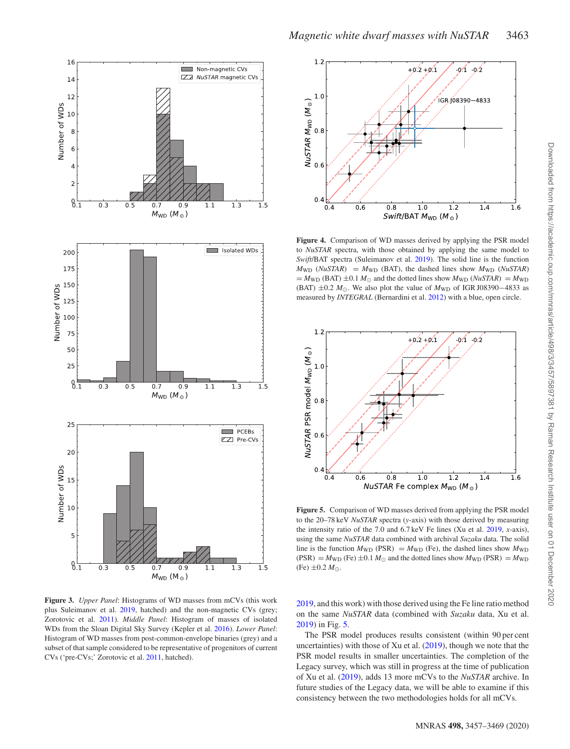<span id="page-6-0"></span>

**Figure 3.** *Upper Panel*: Histograms of WD masses from mCVs (this work plus Suleimanov et al. [2019,](#page-10-12) hatched) and the non-magnetic CVs (grey; Zorotovic et al. [2011\)](#page-10-16). *Middle Panel*: Histogram of masses of isolated WDs from the Sloan Digital Sky Survey (Kepler et al. [2016\)](#page-10-15). *Lower Panel*: Histogram of WD masses from post-common-envelope binaries (grey) and a subset of that sample considered to be representative of progenitors of current CVs ('pre-CVs;' Zorotovic et al. [2011,](#page-10-16) hatched).

<span id="page-6-1"></span>

**Figure 4.** Comparison of WD masses derived by applying the PSR model to *NuSTAR* spectra, with those obtained by applying the same model to *Swift*/BAT spectra (Suleimanov et al. [2019\)](#page-10-12). The solid line is the function  $M_{WD}$  (*NuSTAR*) =  $M_{WD}$  (BAT), the dashed lines show  $M_{WD}$  (*NuSTAR*)  $=M_{WD}$  (BAT)  $\pm 0.1 M_{\odot}$  and the dotted lines show  $M_{WD}$  (*NuSTAR*) =  $M_{WD}$ (BAT)  $\pm 0.2$  *M*<sub>☉</sub>. We also plot the value of *M*<sub>WD</sub> of IGR J08390–4833 as measured by *INTEGRAL* (Bernardini et al. [2012\)](#page-9-9) with a blue, open circle.

<span id="page-6-2"></span>

**Figure 5.** Comparison of WD masses derived from applying the PSR model to the 20–78 keV *NuSTAR* spectra (*y*-axis) with those derived by measuring the intensity ratio of the 7.0 and 6.7 keV Fe lines (Xu et al. [2019,](#page-10-14) *x*-axis), using the same *NuSTAR* data combined with archival *Suzaku* data. The solid line is the function  $M_{WD}$  (PSR) =  $M_{WD}$  (Fe), the dashed lines show  $M_{WD}$  $(PSR) = M_{WD}$  (Fe)  $\pm 0.1 M_{\odot}$  and the dotted lines show  $M_{WD}$  (PSR) =  $M_{WD}$  $(Fe) \pm 0.2 M_{\odot}$ .

[2019,](#page-10-12) and this work) with those derived using the Fe line ratio method on the same *NuSTAR* data (combined with *Suzaku* data, Xu et al. [2019\)](#page-10-14) in Fig. [5.](#page-6-2)

The PSR model produces results consistent (within 90 per cent uncertainties) with those of Xu et al.  $(2019)$ , though we note that the PSR model results in smaller uncertainties. The completion of the Legacy survey, which was still in progress at the time of publication of Xu et al. [\(2019\)](#page-10-14), adds 13 more mCVs to the *NuSTAR* archive. In future studies of the Legacy data, we will be able to examine if this consistency between the two methodologies holds for all mCVs.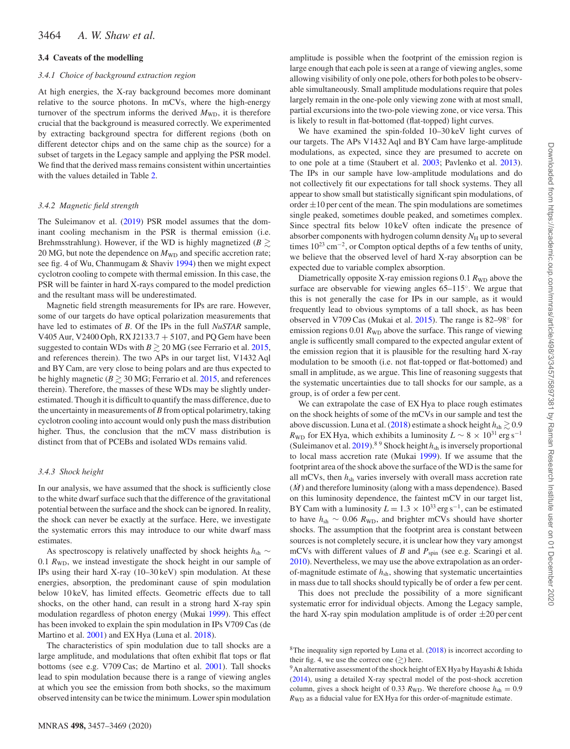# **3.4 Caveats of the modelling**

#### *3.4.1 Choice of background extraction region*

At high energies, the X-ray background becomes more dominant relative to the source photons. In mCVs, where the high-energy turnover of the spectrum informs the derived  $M_{WD}$ , it is therefore crucial that the background is measured correctly. We experimented by extracting background spectra for different regions (both on different detector chips and on the same chip as the source) for a subset of targets in the Legacy sample and applying the PSR model. We find that the derived mass remains consistent within uncertainties with the values detailed in Table [2.](#page-5-0)

#### *3.4.2 Magnetic field strength*

The Suleimanov et al. [\(2019\)](#page-10-12) PSR model assumes that the dominant cooling mechanism in the PSR is thermal emission (i.e. Brehmsstrahlung). However, if the WD is highly magnetized ( $B \gtrsim$ 20 MG, but note the dependence on  $M_{WD}$  and specific accretion rate; see fig. 4 of Wu, Chanmugam & Shaviv [1994\)](#page-10-43) then we might expect cyclotron cooling to compete with thermal emission. In this case, the PSR will be fainter in hard X-rays compared to the model prediction and the resultant mass will be underestimated.

Magnetic field strength measurements for IPs are rare. However, some of our targets do have optical polarization measurements that have led to estimates of *B*. Of the IPs in the full *NuSTAR* sample, V405 Aur, V2400 Oph, RX J2133.7 + 5107, and PQ Gem have been suggested to contain WDs with  $B \gtrsim 20 \,\mathrm{MG}$  (see Ferrario et al. [2015,](#page-9-3) and references therein). The two APs in our target list, V1432 Aql and BY Cam, are very close to being polars and are thus expected to be highly magnetic ( $B \gtrsim 30$  MG; Ferrario et al. [2015,](#page-9-3) and references therein). Therefore, the masses of these WDs may be slightly underestimated. Though it is difficult to quantify the mass difference, due to the uncertainty in measurements of *B* from optical polarimetry, taking cyclotron cooling into account would only push the mass distribution higher. Thus, the conclusion that the mCV mass distribution is distinct from that of PCEBs and isolated WDs remains valid.

## *3.4.3 Shock height*

In our analysis, we have assumed that the shock is sufficiently close to the white dwarf surface such that the difference of the gravitational potential between the surface and the shock can be ignored. In reality, the shock can never be exactly at the surface. Here, we investigate the systematic errors this may introduce to our white dwarf mass estimates.

As spectroscopy is relatively unaffected by shock heights *h*<sub>sh</sub> ∼ 0.1  $R_{WD}$ , we instead investigate the shock height in our sample of IPs using their hard X-ray (10–30 keV) spin modulation. At these energies, absorption, the predominant cause of spin modulation below 10 keV, has limited effects. Geometric effects due to tall shocks, on the other hand, can result in a strong hard X-ray spin modulation regardless of photon energy (Mukai [1999\)](#page-10-44). This effect has been invoked to explain the spin modulation in IPs V709 Cas (de Martino et al. [2001\)](#page-9-16) and EX Hya (Luna et al. [2018\)](#page-10-45).

The characteristics of spin modulation due to tall shocks are a large amplitude, and modulations that often exhibit flat tops or flat bottoms (see e.g. V709 Cas; de Martino et al. [2001\)](#page-9-16). Tall shocks lead to spin modulation because there is a range of viewing angles at which you see the emission from both shocks, so the maximum observed intensity can be twice the minimum. Lower spin modulation

We have examined the spin-folded 10–30 keV light curves of our targets. The APs V1432 Aql and BY Cam have large-amplitude modulations, as expected, since they are presumed to accrete on to one pole at a time (Staubert et al. [2003;](#page-10-46) Pavlenko et al. [2013\)](#page-10-47). The IPs in our sample have low-amplitude modulations and do not collectively fit our expectations for tall shock systems. They all appear to show small but statistically significant spin modulations, of order  $\pm 10$  per cent of the mean. The spin modulations are sometimes single peaked, sometimes double peaked, and sometimes complex. Since spectral fits below 10 keV often indicate the presence of absorber components with hydrogen column density  $N_H$  up to several times  $10^{23}$  cm<sup>-2</sup>, or Compton optical depths of a few tenths of unity, we believe that the observed level of hard X-ray absorption can be expected due to variable complex absorption.

Diametrically opposite X-ray emission regions 0.1  $R_{WD}$  above the surface are observable for viewing angles 65–115◦. We argue that this is not generally the case for IPs in our sample, as it would frequently lead to obvious symptoms of a tall shock, as has been observed in V709 Cas (Mukai et al. [2015\)](#page-10-30). The range is 82–98◦ for emission regions 0.01  $R_{WD}$  above the surface. This range of viewing angle is sufficently small compared to the expected angular extent of the emission region that it is plausible for the resulting hard X-ray modulation to be smooth (i.e. not flat-topped or flat-bottomed) and small in amplitude, as we argue. This line of reasoning suggests that the systematic uncertainties due to tall shocks for our sample, as a group, is of order a few per cent.

We can extrapolate the case of EX Hya to place rough estimates on the shock heights of some of the mCVs in our sample and test the above discussion. Luna et al. [\(2018\)](#page-10-45) estimate a shock height  $h_{sh} \gtrsim 0.9$  $R_{WD}$  for EX Hya, which exhibits a luminosity  $L \sim 8 \times 10^{31}$  erg s<sup>-1</sup> (Suleimanov et al. [2019\)](#page-10-12).<sup>89</sup> Shock height  $h_{sh}$  is inversely proportional to local mass accretion rate (Mukai [1999\)](#page-10-44). If we assume that the footprint area of the shock above the surface of the WD is the same for all mCVs, then  $h_{\rm sh}$  varies inversely with overall mass accretion rate  $(M)$  and therefore luminosity (along with a mass dependence). Based on this luminosity dependence, the faintest mCV in our target list, BY Cam with a luminosity  $L = 1.3 \times 10^{33}$  erg s<sup>-1</sup>, can be estimated to have *h*sh ∼ 0.06 *R*WD, and brighter mCVs should have shorter shocks. The assumption that the footprint area is constant between sources is not completely secure, it is unclear how they vary amongst mCVs with different values of *B* and  $P_{spin}$  (see e.g. Scaringi et al. [2010\)](#page-10-48). Nevertheless, we may use the above extrapolation as an orderof-magnitude estimate of *h*sh, showing that systematic uncertainties in mass due to tall shocks should typically be of order a few per cent.

This does not preclude the possibility of a more significant systematic error for individual objects. Among the Legacy sample, the hard X-ray spin modulation amplitude is of order  $\pm 20$  per cent

 $8$ The inequality sign reported by Luna et al. [\(2018\)](#page-10-45) is incorrect according to their fig. 4, we use the correct one  $(\gtrsim)$  here.

<sup>&</sup>lt;sup>9</sup>An alternative assessment of the shock height of EX Hya by Hayashi & Ishida [\(2014\)](#page-10-49), using a detailed X-ray spectral model of the post-shock accretion column, gives a shock height of 0.33  $R_{WD}$ . We therefore choose  $h_{sh} = 0.9$ *R*WD as a fiducial value for EX Hya for this order-of-magnitude estimate.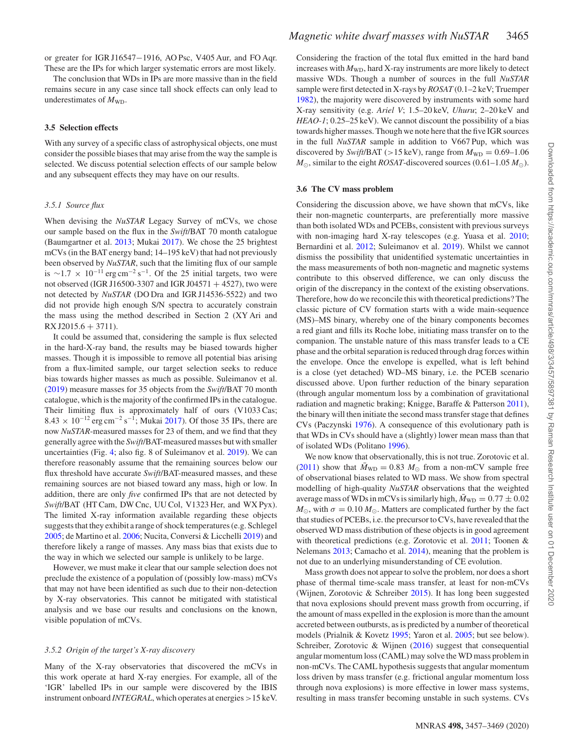or greater for IGR J16547−1916, AO Psc, V405 Aur, and FO Aqr. These are the IPs for which larger systematic errors are most likely.

The conclusion that WDs in IPs are more massive than in the field remains secure in any case since tall shock effects can only lead to underestimates of  $M_{\text{WD}}$ .

#### **3.5 Selection effects**

With any survey of a specific class of astrophysical objects, one must consider the possible biases that may arise from the way the sample is selected. We discuss potential selection effects of our sample below and any subsequent effects they may have on our results.

### *3.5.1 Source flux*

When devising the *NuSTAR* Legacy Survey of mCVs, we chose our sample based on the flux in the *Swift*/BAT 70 month catalogue (Baumgartner et al. [2013;](#page-9-17) Mukai [2017\)](#page-10-5). We chose the 25 brightest mCVs (in the BAT energy band; 14–195 keV) that had not previously been observed by *NuSTAR*, such that the limiting flux of our sample is ~1.7 × 10<sup>-11</sup> erg cm<sup>-2</sup> s<sup>-1</sup>. Of the 25 initial targets, two were not observed (IGR J16500-3307 and IGR J04571  $+$  4527), two were not detected by *NuSTAR* (DO Dra and IGR J14536-5522) and two did not provide high enough S/N spectra to accurately constrain the mass using the method described in Section 2 (XY Ari and  $RX J2015.6 + 3711$ .

It could be assumed that, considering the sample is flux selected in the hard-X-ray band, the results may be biased towards higher masses. Though it is impossible to remove all potential bias arising from a flux-limited sample, our target selection seeks to reduce bias towards higher masses as much as possible. Suleimanov et al. [\(2019\)](#page-10-12) measure masses for 35 objects from the *Swift*/BAT 70 month catalogue, which is the majority of the confirmed IPs in the catalogue. Their limiting flux is approximately half of ours (V1033 Cas; 8.43 × 10<sup>-12</sup> erg cm<sup>-2</sup> s<sup>-1</sup>; Mukai [2017\)](#page-10-5). Of those 35 IPs, there are now *NuSTAR*-measured masses for 23 of them, and we find that they generally agree with the *Swift*/BAT-measured masses but with smaller uncertainties (Fig. [4;](#page-6-1) also fig. 8 of Suleimanov et al. [2019\)](#page-10-12). We can therefore reasonably assume that the remaining sources below our flux threshold have accurate *Swift*/BAT-measured masses, and these remaining sources are not biased toward any mass, high or low. In addition, there are only *five* confirmed IPs that are not detected by *Swift*/BAT (HT Cam, DW Cnc, UU Col, V1323 Her, and WX Pyx). The limited X-ray information available regarding these objects suggests that they exhibit a range of shock temperatures (e.g. Schlegel [2005;](#page-10-50) de Martino et al. [2006;](#page-9-18) Nucita, Conversi & Licchelli [2019\)](#page-10-51) and therefore likely a range of masses. Any mass bias that exists due to the way in which we selected our sample is unlikely to be large.

However, we must make it clear that our sample selection does not preclude the existence of a population of (possibly low-mass) mCVs that may not have been identified as such due to their non-detection by X-ray observatories. This cannot be mitigated with statistical analysis and we base our results and conclusions on the known, visible population of mCVs.

#### *3.5.2 Origin of the target's X-ray discovery*

Many of the X-ray observatories that discovered the mCVs in this work operate at hard X-ray energies. For example, all of the 'IGR' labelled IPs in our sample were discovered by the IBIS instrument onboard *INTEGRAL*, which operates at energies *>*15 keV. Considering the fraction of the total flux emitted in the hard band increases with  $M_{WD}$ , hard X-ray instruments are more likely to detect massive WDs. Though a number of sources in the full *NuSTAR* sample were first detected in X-rays by *ROSAT* (0.1–2 keV; Truemper [1982\)](#page-10-52), the majority were discovered by instruments with some hard X-ray sensitivity (e.g. *Ariel V*; 1.5–20 keV, *Uhuru*; 2–20 keV and *HEAO-1*; 0.25–25 keV). We cannot discount the possibility of a bias towards higher masses. Though we note here that the five IGR sources in the full *NuSTAR* sample in addition to V667 Pup, which was discovered by *Swift*/BAT ( $>$ 15 keV), range from  $M_{WD} = 0.69 - 1.06$  $M_{\odot}$ , similar to the eight *ROSAT*-discovered sources (0.61–1.05  $M_{\odot}$ ).

#### **3.6 The CV mass problem**

Considering the discussion above, we have shown that mCVs, like their non-magnetic counterparts, are preferentially more massive than both isolated WDs and PCEBs, consistent with previous surveys with non-imaging hard X-ray telescopes (e.g. Yuasa et al. [2010;](#page-10-11) Bernardini et al. [2012;](#page-9-9) Suleimanov et al. [2019\)](#page-10-12). Whilst we cannot dismiss the possibility that unidentified systematic uncertainties in the mass measurements of both non-magnetic and magnetic systems contribute to this observed difference, we can only discuss the origin of the discrepancy in the context of the existing observations. Therefore, how do we reconcile this with theoretical predictions? The classic picture of CV formation starts with a wide main-sequence (MS)–MS binary, whereby one of the binary components becomes a red giant and fills its Roche lobe, initiating mass transfer on to the companion. The unstable nature of this mass transfer leads to a CE phase and the orbital separation is reduced through drag forces within the envelope. Once the envelope is expelled, what is left behind is a close (yet detached) WD–MS binary, i.e. the PCEB scenario discussed above. Upon further reduction of the binary separation (through angular momentum loss by a combination of gravitational radiation and magnetic braking; Knigge, Baraffe & Patterson [2011\)](#page-10-53), the binary will then initiate the second mass transfer stage that defines CVs (Paczynski [1976\)](#page-10-41). A consequence of this evolutionary path is that WDs in CVs should have a (slightly) lower mean mass than that of isolated WDs (Politano [1996\)](#page-10-54).

We now know that observationally, this is not true. Zorotovic et al. [\(2011\)](#page-10-16) show that  $\bar{M}_{WD} = 0.83$   $M_{\odot}$  from a non-mCV sample free of observational biases related to WD mass. We show from spectral modelling of high-quality *NuSTAR* observations that the weighted average mass of WDs in mCVs is similarly high,  $\bar{M}_{WD} = 0.77 \pm 0.02$  $M_{\odot}$ , with  $\sigma = 0.10 M_{\odot}$ . Matters are complicated further by the fact that studies of PCEBs, i.e. the precursor to CVs, have revealed that the observed WD mass distribution of these objects is in good agreement with theoretical predictions (e.g. Zorotovic et al. [2011;](#page-10-16) Toonen & Nelemans [2013;](#page-10-55) Camacho et al. [2014\)](#page-9-19), meaning that the problem is not due to an underlying misunderstanding of CE evolution.

Mass growth does not appear to solve the problem, nor does a short phase of thermal time-scale mass transfer, at least for non-mCVs (Wijnen, Zorotovic & Schreiber [2015\)](#page-10-56). It has long been suggested that nova explosions should prevent mass growth from occurring, if the amount of mass expelled in the explosion is more than the amount accreted between outbursts, as is predicted by a number of theoretical models (Prialnik & Kovetz [1995;](#page-10-19) Yaron et al. [2005;](#page-10-20) but see below). Schreiber, Zorotovic & Wijnen [\(2016\)](#page-10-57) suggest that consequential angular momentum loss (CAML) may solve the WD mass problem in non-mCVs. The CAML hypothesis suggests that angular momentum loss driven by mass transfer (e.g. frictional angular momentum loss through nova explosions) is more effective in lower mass systems, resulting in mass transfer becoming unstable in such systems. CVs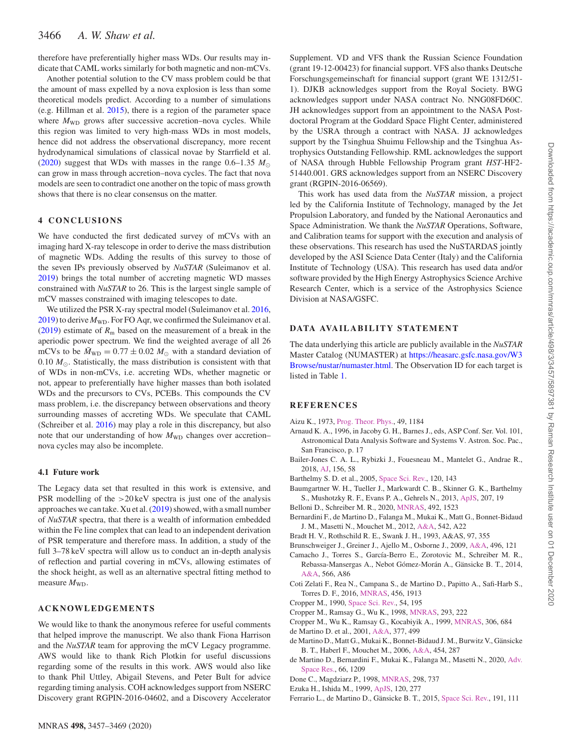# 3466 *A. W. Shaw et al.*

therefore have preferentially higher mass WDs. Our results may indicate that CAML works similarly for both magnetic and non-mCVs.

Another potential solution to the CV mass problem could be that the amount of mass expelled by a nova explosion is less than some theoretical models predict. According to a number of simulations (e.g. Hillman et al. [2015\)](#page-10-58), there is a region of the parameter space where  $M_{WD}$  grows after successive accretion–nova cycles. While this region was limited to very high-mass WDs in most models, hence did not address the observational discrepancy, more recent hydrodynamical simulations of classical novae by Starrfield et al. [\(2020\)](#page-10-59) suggest that WDs with masses in the range  $0.6-1.35$   $M_{\odot}$ can grow in mass through accretion–nova cycles. The fact that nova models are seen to contradict one another on the topic of mass growth shows that there is no clear consensus on the matter.

# **4 CONCLUSIONS**

We have conducted the first dedicated survey of mCVs with an imaging hard X-ray telescope in order to derive the mass distribution of magnetic WDs. Adding the results of this survey to those of the seven IPs previously observed by *NuSTAR* (Suleimanov et al. [2019\)](#page-10-12) brings the total number of accreting magnetic WD masses constrained with *NuSTAR* to 26. This is the largest single sample of mCV masses constrained with imaging telescopes to date.

We utilized the PSR X-ray spectral model (Suleimanov et al. [2016,](#page-10-28) [2019\)](#page-10-12) to derive  $M_{WD}$ . For FO Aqr, we confirmed the Suleimanov et al. [\(2019\)](#page-10-12) estimate of  $R<sub>m</sub>$  based on the measurement of a break in the aperiodic power spectrum. We find the weighted average of all 26 mCVs to be  $\overline{M}_{WD} = 0.77 \pm 0.02$   $M_{\odot}$  with a standard deviation of  $0.10 M_{\odot}$ . Statistically, the mass distribution is consistent with that of WDs in non-mCVs, i.e. accreting WDs, whether magnetic or not, appear to preferentially have higher masses than both isolated WDs and the precursors to CVs, PCEBs. This compounds the CV mass problem, i.e. the discrepancy between observations and theory surrounding masses of accreting WDs. We speculate that CAML (Schreiber et al. [2016\)](#page-10-57) may play a role in this discrepancy, but also note that our understanding of how  $M_{WD}$  changes over accretion– nova cycles may also be incomplete.

## **4.1 Future work**

The Legacy data set that resulted in this work is extensive, and PSR modelling of the *>*20 keV spectra is just one of the analysis approaches we can take. Xu et al. [\(2019\)](#page-10-14) showed, with a small number of *NuSTAR* spectra, that there is a wealth of information embedded within the Fe line complex that can lead to an independent derivation of PSR temperature and therefore mass. In addition, a study of the full 3–78 keV spectra will allow us to conduct an in-depth analysis of reflection and partial covering in mCVs, allowing estimates of the shock height, as well as an alternative spectral fitting method to measure  $M_{WD}$ .

## **ACKNOWLEDGEMENTS**

We would like to thank the anonymous referee for useful comments that helped improve the manuscript. We also thank Fiona Harrison and the *NuSTAR* team for approving the mCV Legacy programme. AWS would like to thank Rich Plotkin for useful discussions regarding some of the results in this work. AWS would also like to thank Phil Uttley, Abigail Stevens, and Peter Bult for advice regarding timing analysis. COH acknowledges support from NSERC Discovery grant RGPIN-2016-04602, and a Discovery Accelerator Supplement. VD and VFS thank the Russian Science Foundation (grant 19-12-00423) for financial support. VFS also thanks Deutsche Forschungsgemeinschaft for financial support (grant WE 1312/51- 1). DJKB acknowledges support from the Royal Society. BWG acknowledges support under NASA contract No. NNG08FD60C. JH acknowledges support from an appointment to the NASA Postdoctoral Program at the Goddard Space Flight Center, administered by the USRA through a contract with NASA. JJ acknowledges support by the Tsinghua Shuimu Fellowship and the Tsinghua Astrophysics Outstanding Fellowship. RML acknowledges the support of NASA through Hubble Fellowship Program grant *HST*-HF2- 51440.001. GRS acknowledges support from an NSERC Discovery grant (RGPIN-2016-06569).

This work has used data from the *NuSTAR* mission, a project led by the California Institute of Technology, managed by the Jet Propulsion Laboratory, and funded by the National Aeronautics and Space Administration. We thank the *NuSTAR* Operations, Software, and Calibration teams for support with the execution and analysis of these observations. This research has used the NuSTARDAS jointly developed by the ASI Science Data Center (Italy) and the California Institute of Technology (USA). This research has used data and/or software provided by the High Energy Astrophysics Science Archive Research Center, which is a service of the Astrophysics Science Division at NASA/GSFC.

## **DATA AVAILABILITY STATEMENT**

The data underlying this article are publicly available in the *NuSTAR* Master Catalog (NUMASTER) at https://heasarc.gsfc.nasa.gov/W3 [Browse/nustar/numaster.html. The Observation ID for each target is](https://heasarc.gsfc.nasa.gov/W3Browse/nustar/numaster.html) listed in Table [1.](#page-3-0)

# **REFERENCES**

- <span id="page-9-1"></span>Aizu K., 1973, [Prog. Theor. Phys.,](http://dx.doi.org/10.1143/PTP.49.1184) 49, 1184
- <span id="page-9-14"></span>Arnaud K. A., 1996, in Jacoby G. H., Barnes J., eds, ASP Conf. Ser. Vol. 101, Astronomical Data Analysis Software and Systems V. Astron. Soc. Pac., San Francisco, p. 17
- <span id="page-9-15"></span>Bailer-Jones C. A. L., Rybizki J., Fouesneau M., Mantelet G., Andrae R., 2018, [AJ,](http://dx.doi.org/10.3847/1538-3881/aacb21) 156, 58
- <span id="page-9-13"></span>Barthelmy S. D. et al., 2005, [Space Sci. Rev.,](http://dx.doi.org/10.1007/s11214-005-5096-3) 120, 143
- <span id="page-9-17"></span>Baumgartner W. H., Tueller J., Markwardt C. B., Skinner G. K., Barthelmy S., Mushotzky R. F., Evans P. A., Gehrels N., 2013, [ApJS,](http://dx.doi.org/10.1088/0067-0049/207/2/19) 207, 19
- <span id="page-9-4"></span>Belloni D., Schreiber M. R., 2020, [MNRAS,](http://dx.doi.org/10.1093/mnras/stz3601) 492, 1523
- <span id="page-9-9"></span>Bernardini F., de Martino D., Falanga M., Mukai K., Matt G., Bonnet-Bidaud J. M., Masetti N., Mouchet M., 2012, [A&A,](http://dx.doi.org/10.1051/0004-6361/201219233) 542, A22
- <span id="page-9-7"></span>Bradt H. V., Rothschild R. E., Swank J. H., 1993, A&AS, 97, 355
- <span id="page-9-8"></span>Brunschweiger J., Greiner J., Ajello M., Osborne J., 2009, [A&A,](http://dx.doi.org/10.1051/0004-6361/200811285) 496, 121
- <span id="page-9-19"></span>Camacho J., Torres S., García-Berro E., Zorotovic M., Schreiber M. R., Rebassa-Mansergas A., Nebot Gómez-Morán A., Gänsicke B. T., 2014, [A&A,](http://dx.doi.org/10.1051/0004-6361/201323052) 566, A86
- <span id="page-9-12"></span>Coti Zelati F., Rea N., Campana S., de Martino D., Papitto A., Safi-Harb S., Torres D. F., 2016, [MNRAS,](http://dx.doi.org/10.1093/mnras/stv2803) 456, 1913
- <span id="page-9-0"></span>Cropper M., 1990, [Space Sci. Rev.,](http://dx.doi.org/10.1007/BF00177799) 54, 195
- <span id="page-9-5"></span>Cropper M., Ramsay G., Wu K., 1998, [MNRAS,](http://dx.doi.org/10.1046/j.1365-8711.1998.00610.x) 293, 222
- <span id="page-9-6"></span>Cropper M., Wu K., Ramsay G., Kocabiyik A., 1999, [MNRAS,](http://dx.doi.org/10.1046/j.1365-8711.1999.02570.x) 306, 684 de Martino D. et al., 2001, [A&A,](http://dx.doi.org/10.1051/0004-6361:20011059) 377, 499
- <span id="page-9-18"></span><span id="page-9-16"></span>de Martino D., Matt G., Mukai K., Bonnet-Bidaud J. M., Burwitz V., Gänsicke B. T., Haberl F., Mouchet M., 2006, [A&A,](http://dx.doi.org/10.1051/0004-6361:20065078) 454, 287
- <span id="page-9-10"></span>de [Martino D., Bernardini F., Mukai K., Falanga M., Masetti N., 2020,](http://dx.doi.org/10.1016/j.asr.2019.09.006) Adv. Space Res., 66, 1209
- <span id="page-9-11"></span>Done C., Magdziarz P., 1998, [MNRAS,](http://dx.doi.org/10.1046/j.1365-8711.1998.01636.x) 298, 737
- <span id="page-9-2"></span>Ezuka H., Ishida M., 1999, [ApJS,](http://dx.doi.org/10.1086/313181) 120, 277
- <span id="page-9-3"></span>Ferrario L., de Martino D., Gänsicke B. T., 2015, [Space Sci. Rev.,](http://dx.doi.org/10.1007/s11214-015-0152-0) 191, 111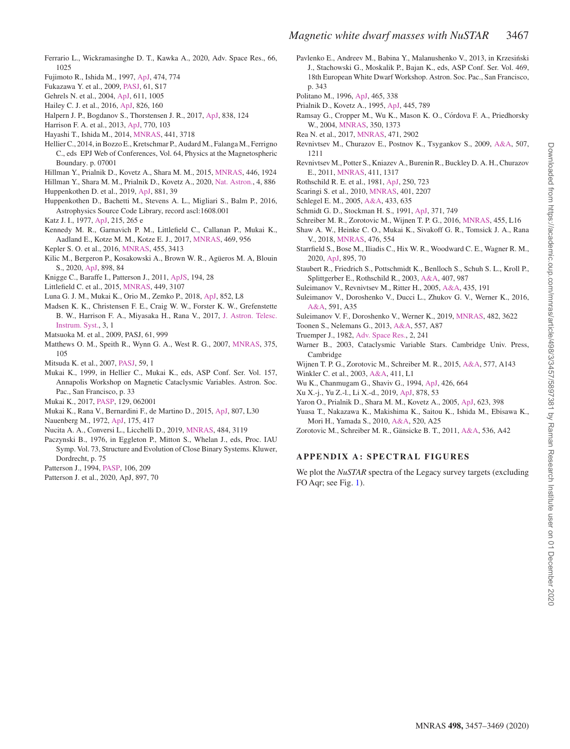- <span id="page-10-18"></span>Ferrario L., Wickramasinghe D. T., Kawka A., 2020, Adv. Space Res., 66, 1025
- <span id="page-10-13"></span>Fujimoto R., Ishida M., 1997, [ApJ,](http://dx.doi.org/10.1086/303483) 474, 774
- <span id="page-10-25"></span>Fukazawa Y. et al., 2009, [PASJ,](http://dx.doi.org/10.1093/pasj/61.sp1.S17) 61, S17
- <span id="page-10-22"></span>Gehrels N. et al., 2004, [ApJ,](http://dx.doi.org/10.1086/422091) 611, 1005
- <span id="page-10-27"></span>Hailey C. J. et al., 2016, [ApJ,](http://dx.doi.org/10.3847/0004-637X/826/2/160) 826, 160
- <span id="page-10-6"></span>Halpern J. P., Bogdanov S., Thorstensen J. R., 2017, [ApJ,](http://dx.doi.org/10.3847/1538-4357/838/2/124) 838, 124
- <span id="page-10-26"></span>Harrison F. A. et al., 2013, [ApJ,](http://dx.doi.org/10.1088/0004-637X/770/2/103) 770, 103
- <span id="page-10-49"></span>Hayashi T., Ishida M., 2014, [MNRAS,](http://dx.doi.org/10.1093/mnras/stu766) 441, 3718
- <span id="page-10-2"></span>Hellier C., 2014, in Bozzo E., Kretschmar P., Audard M., Falanga M., Ferrigno C., eds EPJ Web of Conferences, Vol. 64, Physics at the Magnetospheric Boundary. p. 07001
- <span id="page-10-58"></span>Hillman Y., Prialnik D., Kovetz A., Shara M. M., 2015, [MNRAS,](http://dx.doi.org/10.1093/mnras/stu2235) 446, 1924
- <span id="page-10-21"></span>Hillman Y., Shara M. M., Prialnik D., Kovetz A., 2020, [Nat. Astron.,](http://dx.doi.org/10.1038/s41550-020-1062-y) 4, 886
- <span id="page-10-38"></span>Huppenkothen D. et al., 2019, [ApJ,](http://dx.doi.org/10.3847/1538-4357/ab258d) 881, 39
- <span id="page-10-37"></span>Huppenkothen D., Bachetti M., Stevens A. L., Migliari S., Balm P., 2016, Astrophysics Source Code Library, record ascl:1608.001
- <span id="page-10-8"></span>Katz J. I., 1977, [ApJ,](http://dx.doi.org/10.1086/155355) 215, 265 e
- <span id="page-10-35"></span>Kennedy M. R., Garnavich P. M., Littlefield C., Callanan P., Mukai K., Aadland E., Kotze M. M., Kotze E. J., 2017, [MNRAS,](http://dx.doi.org/10.1093/mnras/stx880) 469, 956
- <span id="page-10-15"></span>Kepler S. O. et al., 2016, [MNRAS,](http://dx.doi.org/10.1093/mnras/stv2526) 455, 3413
- <span id="page-10-17"></span>Kilic M., Bergeron P., Kosakowski A., Brown W. R., Agüeros M. A, Blouin S., 2020, [ApJ,](http://dx.doi.org/10.1093/mnrasl/sly110) 898, 84
- <span id="page-10-53"></span>Knigge C., Baraffe I., Patterson J., 2011, [ApJS,](http://dx.doi.org/10.1088/0067-0049/194/2/28) 194, 28
- <span id="page-10-4"></span>Littlefield C. et al., 2015, [MNRAS,](http://dx.doi.org/10.1093/mnras/stv462) 449, 3107
- <span id="page-10-45"></span>Luna G. J. M., Mukai K., Orio M., Zemko P., 2018, [ApJ,](http://dx.doi.org/10.3847/2041-8213/aaa28f) 852, L8
- <span id="page-10-36"></span>Madsen K. K., Christensen F. E., Craig W. W., Forster K. W., Grefenstette [B. W., Harrison F. A., Miyasaka H., Rana V., 2017,](http://dx.doi.org/10.1117/1.JATIS.3.4.044003) J. Astron. Telesc. Instrum. Syst., 3, 1
- <span id="page-10-40"></span>Matsuoka M. et al., 2009, PASJ, 61, 999
- <span id="page-10-42"></span>Matthews O. M., Speith R., Wynn G. A., West R. G., 2007, [MNRAS,](http://dx.doi.org/10.1111/j.1365-2966.2006.11252.x) 375, 105
- <span id="page-10-23"></span>Mitsuda K. et al., 2007, [PASJ,](http://dx.doi.org/10.1093/pasj/59.sp1.S1) 59, 1
- <span id="page-10-44"></span>Mukai K., 1999, in Hellier C., Mukai K., eds, ASP Conf. Ser. Vol. 157, Annapolis Workshop on Magnetic Cataclysmic Variables. Astron. Soc. Pac., San Francisco, p. 33
- <span id="page-10-5"></span>Mukai K., 2017, [PASP,](http://dx.doi.org/10.1088/1538-3873/aa6736) 129, 062001
- <span id="page-10-30"></span>Mukai K., Rana V., Bernardini F., de Martino D., 2015, [ApJ,](http://dx.doi.org/10.1088/2041-8205/807/2/L30) 807, L30
- <span id="page-10-31"></span>Nauenberg M., 1972, [ApJ,](http://dx.doi.org/10.1086/151568) 175, 417
- <span id="page-10-51"></span>Nucita A. A., Conversi L., Licchelli D., 2019, [MNRAS,](http://dx.doi.org/10.1093/mnras/stz118) 484, 3119
- <span id="page-10-41"></span>Paczynski B., 1976, in Eggleton P., Mitton S., Whelan J., eds, Proc. IAU Symp. Vol. 73, Structure and Evolution of Close Binary Systems. Kluwer, Dordrecht, p. 75
- <span id="page-10-1"></span>Patterson J., 1994, [PASP,](http://dx.doi.org/10.1086/133375) 106, 209
- <span id="page-10-39"></span>Patterson J. et al., 2020, ApJ, 897, 70
- <span id="page-10-47"></span>Pavlenko E., Andreev M., Babina Y., Malanushenko V., 2013, in Krzesiński J., Stachowski G., Moskalik P., Bajan K., eds, ASP Conf. Ser. Vol. 469, 18th European White Dwarf Workshop. Astron. Soc. Pac., San Francisco, p. 343
- <span id="page-10-54"></span>Politano M., 1996, [ApJ,](http://dx.doi.org/10.1086/177423) 465, 338
- <span id="page-10-19"></span>Prialnik D., Kovetz A., 1995, [ApJ,](http://dx.doi.org/10.1086/175741) 445, 789
- <span id="page-10-34"></span>Ramsay G., Cropper M., Wu K., Mason K. O., Córdova F. A., Priedhorsky W., 2004, [MNRAS,](http://dx.doi.org/10.1111/j.1365-2966.2004.07732.x) 350, 1373
- <span id="page-10-7"></span>Rea N. et al., 2017, [MNRAS,](http://dx.doi.org/10.1093/mnras/stx1560) 471, 2902
- <span id="page-10-32"></span>Revnivtsev M., Churazov E., Postnov K., Tsygankov S., 2009, [A&A,](http://dx.doi.org/10.1051/0004-6361/200912317) 507, 1211
- <span id="page-10-33"></span>Revnivtsev M., Potter S., Kniazev A., Burenin R., Buckley D. A. H., Churazov E., 2011, [MNRAS,](http://dx.doi.org/10.1111/j.1365-2966.2010.17765.x) 411, 1317
- <span id="page-10-9"></span>Rothschild R. E. et al., 1981, [ApJ,](http://dx.doi.org/10.1086/159420) 250, 723
- <span id="page-10-48"></span>Scaringi S. et al., 2010, [MNRAS,](http://dx.doi.org/10.1111/j.1365-2966.2009.15826.x) 401, 2207
- <span id="page-10-50"></span>Schlegel E. M., 2005, [A&A,](http://dx.doi.org/10.1051/0004-6361:20042314) 433, 635
- <span id="page-10-3"></span>Schmidt G. D., Stockman H. S., 1991, [ApJ,](http://dx.doi.org/10.1086/169939) 371, 749
- <span id="page-10-57"></span>Schreiber M. R., Zorotovic M., Wijnen T. P. G., 2016, [MNRAS,](http://dx.doi.org/10.1093/mnrasl/slv144) 455, L16
- <span id="page-10-29"></span>Shaw A. W., Heinke C. O., Mukai K., Sivakoff G. R., Tomsick J. A., Rana V., 2018, [MNRAS,](http://dx.doi.org/10.1093/mnras/sty246) 476, 554
- <span id="page-10-59"></span>Starrfield S., Bose M., Iliadis C., Hix W. R., Woodward C. E., Wagner R. M., 2020, [ApJ,](http://dx.doi.org/10.3847/1538-4357/ab8d23) 895, 70
- <span id="page-10-46"></span>Staubert R., Friedrich S., Pottschmidt K., Benlloch S., Schuh S. L., Kroll P., Splittgerber E., Rothschild R., 2003, [A&A,](http://dx.doi.org/10.1051/0004-6361:20030851) 407, 987
- <span id="page-10-10"></span>Suleimanov V., Revnivtsev M., Ritter H., 2005, [A&A,](http://dx.doi.org/10.1051/0004-6361:20041283e) 435, 191
- <span id="page-10-28"></span>Suleimanov V., Doroshenko V., Ducci L., Zhukov G. V., Werner K., 2016, [A&A,](http://dx.doi.org/10.1051/0004-6361/201628301) 591, A35
- <span id="page-10-12"></span>Suleimanov V. F., Doroshenko V., Werner K., 2019, [MNRAS,](http://dx.doi.org/10.1093/mnras/sty2952) 482, 3622
- <span id="page-10-55"></span>Toonen S., Nelemans G., 2013, [A&A,](http://dx.doi.org/10.1051/0004-6361/201321753) 557, A87
- <span id="page-10-52"></span>Truemper J., 1982, [Adv. Space Res.,](http://dx.doi.org/10.1016/0273-1177(82)90070-9) 2, 241
- <span id="page-10-0"></span>Warner B., 2003, Cataclysmic Variable Stars. Cambridge Univ. Press, Cambridge
- <span id="page-10-56"></span>Wijnen T. P. G., Zorotovic M., Schreiber M. R., 2015, [A&A,](http://dx.doi.org/10.1051/0004-6361/201323018) 577, A143
- <span id="page-10-24"></span>Winkler C. et al., 2003, [A&A,](http://dx.doi.org/10.1051/0004-6361:20031288) 411, L1
- <span id="page-10-43"></span>Wu K., Chanmugam G., Shaviv G., 1994, [ApJ,](http://dx.doi.org/10.1086/174103) 426, 664
- <span id="page-10-14"></span>Xu X.-j., Yu Z.-l., Li X.-d., 2019, [ApJ,](http://dx.doi.org/10.3847/1538-4357/ab1fe1) 878, 53
- <span id="page-10-20"></span>Yaron O., Prialnik D., Shara M. M., Kovetz A., 2005, [ApJ,](http://dx.doi.org/10.1086/428435) 623, 398
- <span id="page-10-11"></span>Yuasa T., Nakazawa K., Makishima K., Saitou K., Ishida M., Ebisawa K., Mori H., Yamada S., 2010, [A&A,](http://dx.doi.org/10.1051/0004-6361/201014542) 520, A25
- <span id="page-10-16"></span>Zorotovic M., Schreiber M. R., Gänsicke B. T., 2011, [A&A,](http://dx.doi.org/10.1051/0004-6361/201116626) 536, A42

# **APPENDIX A: SPECTRAL FIGURES**

We plot the *NuSTAR* spectra of the Legacy survey targets (excluding FO Aqr; see Fig. [1\)](#page-2-0).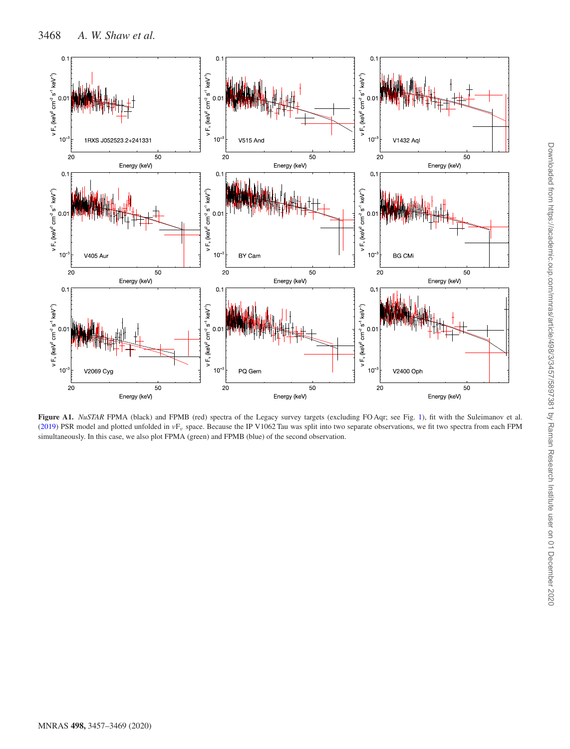<span id="page-11-0"></span>

Figure A1. *NuSTAR* FPMA (black) and FPMB (red) spectra of the Legacy survey targets (excluding FO Aqr; see Fig. [1\)](#page-2-0), fit with the Suleimanov et al. [\(2019\)](#page-10-12) PSR model and plotted unfolded in *ν*F*<sup>ν</sup>* space. Because the IP V1062 Tau was split into two separate observations, we fit two spectra from each FPM simultaneously. In this case, we also plot FPMA (green) and FPMB (blue) of the second observation.